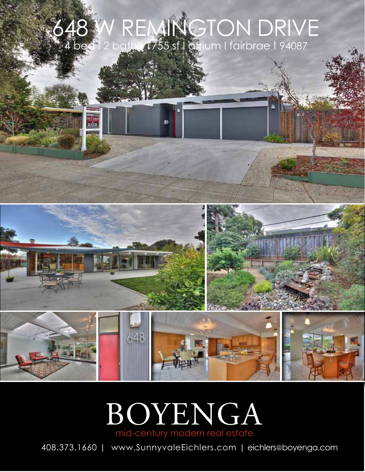## 648 W REMINGTON DRIVE 4 bed 1 2 bath 1755 sf I atrium I fairbrae | 94087

B



## BOYENGA mid-century modern real estate

408.373.1660 | www.SunnyvaleEichlers.com | eichlers@boyenga.com